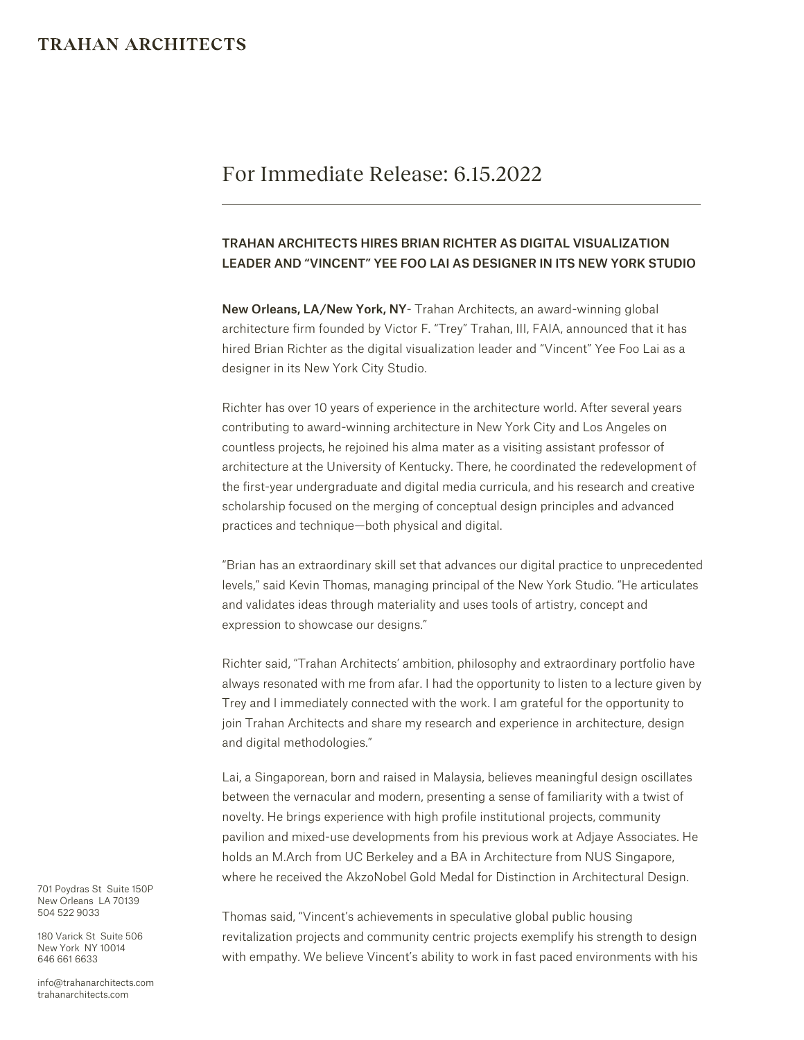## **TRAHAN ARCHITECTS**

# For Immediate Release: 6.15.2022

### TRAHAN ARCHITECTS HIRES BRIAN RICHTER AS DIGITAL VISUALIZATION LEADER AND "VINCENT" YEE FOO LAI AS DESIGNER IN ITS NEW YORK STUDIO

New Orleans, LA/New York, NY- Trahan Architects, an award-winning global architecture firm founded by Victor F. "Trey" Trahan, III, FAIA, announced that it has hired Brian Richter as the digital visualization leader and "Vincent" Yee Foo Lai as a designer in its New York City Studio.

Richter has over 10 years of experience in the architecture world. After several years contributing to award-winning architecture in New York City and Los Angeles on countless projects, he rejoined his alma mater as a visiting assistant professor of architecture at the University of Kentucky. There, he coordinated the redevelopment of the first-year undergraduate and digital media curricula, and his research and creative scholarship focused on the merging of conceptual design principles and advanced practices and technique—both physical and digital.

"Brian has an extraordinary skill set that advances our digital practice to unprecedented levels," said Kevin Thomas, managing principal of the New York Studio. "He articulates and validates ideas through materiality and uses tools of artistry, concept and expression to showcase our designs."

Richter said, "Trahan Architects' ambition, philosophy and extraordinary portfolio have always resonated with me from afar. I had the opportunity to listen to a lecture given by Trey and I immediately connected with the work. I am grateful for the opportunity to join Trahan Architects and share my research and experience in architecture, design and digital methodologies."

Lai, a Singaporean, born and raised in Malaysia, believes meaningful design oscillates between the vernacular and modern, presenting a sense of familiarity with a twist of novelty. He brings experience with high profile institutional projects, community pavilion and mixed-use developments from his previous work at Adjaye Associates. He holds an M.Arch from UC Berkeley and a BA in Architecture from NUS Singapore, where he received the AkzoNobel Gold Medal for Distinction in Architectural Design.

Thomas said, "Vincent's achievements in speculative global public housing revitalization projects and community centric projects exemplify his strength to design with empathy. We believe Vincent's ability to work in fast paced environments with his

701 Poydras St Suite 150P New Orleans LA 70139 504 522 9033

180 Varick St Suite 506 New York NY 10014 646 661 6633

info@trahanarchitects.com trahanarchitects.com